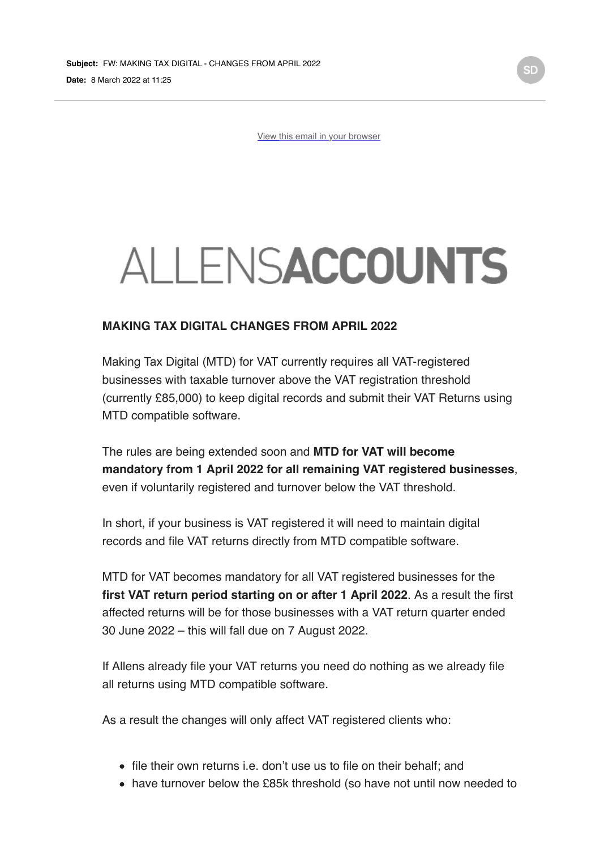[View this email in your browser](https://mailchi.mp/781f02188e69/government-measures-covid-11430674?e=bbf1470ec8)

## **ALLENSACCOUNTS**

## **MAKING TAX DIGITAL CHANGES FROM APRIL 2022**

Making Tax Digital (MTD) for VAT currently requires all VAT-registered businesses with taxable turnover above the VAT registration threshold (currently £85,000) to keep digital records and submit their VAT Returns using MTD compatible software.

The rules are being extended soon and **MTD for VAT will become mandatory from 1 April 2022 for all remaining VAT registered businesses**, even if voluntarily registered and turnover below the VAT threshold.

In short, if your business is VAT registered it will need to maintain digital records and file VAT returns directly from MTD compatible software.

MTD for VAT becomes mandatory for all VAT registered businesses for the **first VAT return period starting on or after 1 April 2022**. As a result the first affected returns will be for those businesses with a VAT return quarter ended 30 June 2022 – this will fall due on 7 August 2022.

If Allens already file your VAT returns you need do nothing as we already file all returns using MTD compatible software.

As a result the changes will only affect VAT registered clients who:

- file their own returns i.e. don't use us to file on their behalf; and
- have turnover below the £85k threshold (so have not until now needed to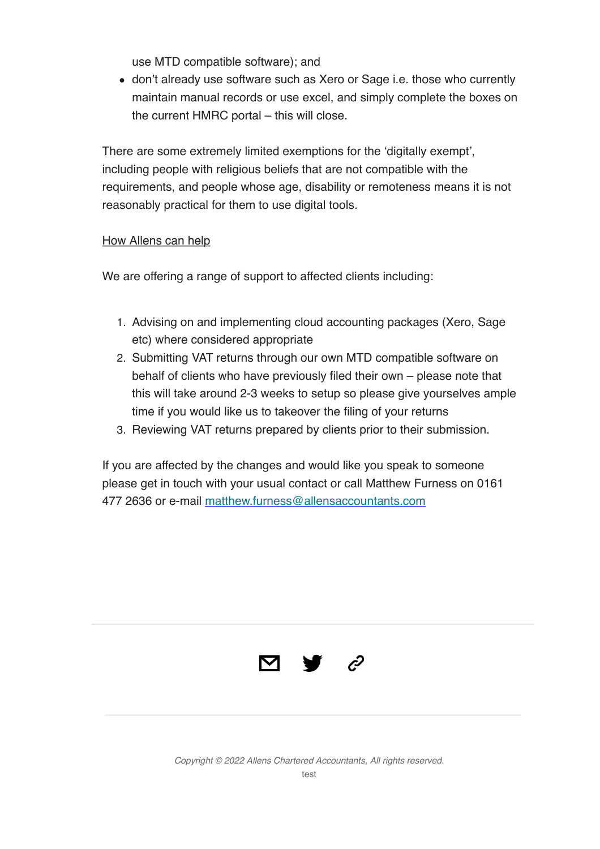use MTD compatible software); and

don't already use software such as Xero or Sage i.e. those who currently maintain manual records or use excel, and simply complete the boxes on the current HMRC portal – this will close.

There are some extremely limited exemptions for the 'digitally exempt', including people with religious beliefs that are not compatible with the requirements, and people whose age, disability or remoteness means it is not reasonably practical for them to use digital tools.

## How Allens can help

We are offering a range of support to affected clients including:

- 1. Advising on and implementing cloud accounting packages (Xero, Sage etc) where considered appropriate
- 2. Submitting VAT returns through our own MTD compatible software on behalf of clients who have previously filed their own – please note that this will take around 2-3 weeks to setup so please give yourselves ample time if you would like us to takeover the filing of your returns
- 3. Reviewing VAT returns prepared by clients prior to their submission.

If you are affected by the changes and would like you speak to someone please get in touch with your usual contact or call Matthew Furness on 0161 477 2636 or e-mail [matthew.furness@allensaccountants.com](mailto:matthew.furness@allensaccountants.com)



*Copyright © 2022 Allens Chartered Accountants, All rights reserved.* test